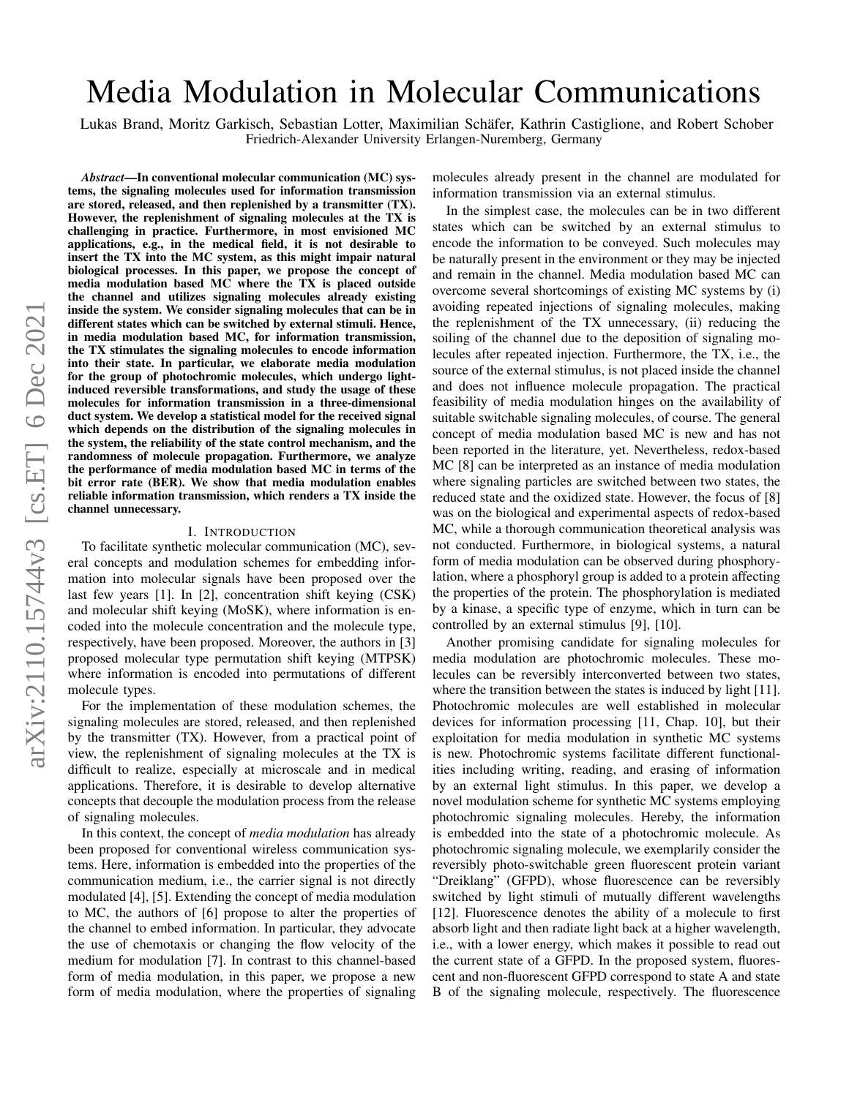# Media Modulation in Molecular Communications

Lukas Brand, Moritz Garkisch, Sebastian Lotter, Maximilian Schäfer, Kathrin Castiglione, and Robert Schober Friedrich-Alexander University Erlangen-Nuremberg, Germany

*Abstract*—In conventional molecular communication (MC) systems, the signaling molecules used for information transmission are stored, released, and then replenished by a transmitter (TX). However, the replenishment of signaling molecules at the TX is challenging in practice. Furthermore, in most envisioned MC applications, e.g., in the medical field, it is not desirable to insert the TX into the MC system, as this might impair natural biological processes. In this paper, we propose the concept of media modulation based MC where the TX is placed outside the channel and utilizes signaling molecules already existing inside the system. We consider signaling molecules that can be in different states which can be switched by external stimuli. Hence, in media modulation based MC, for information transmission, the TX stimulates the signaling molecules to encode information into their state. In particular, we elaborate media modulation for the group of photochromic molecules, which undergo lightinduced reversible transformations, and study the usage of these molecules for information transmission in a three-dimensional duct system. We develop a statistical model for the received signal which depends on the distribution of the signaling molecules in the system, the reliability of the state control mechanism, and the randomness of molecule propagation. Furthermore, we analyze the performance of media modulation based MC in terms of the bit error rate (BER). We show that media modulation enables reliable information transmission, which renders a TX inside the channel unnecessary.

#### I. INTRODUCTION

To facilitate synthetic molecular communication (MC), several concepts and modulation schemes for embedding information into molecular signals have been proposed over the last few years [\[1\]](#page-5-0). In [\[2\]](#page-5-1), concentration shift keying (CSK) and molecular shift keying (MoSK), where information is encoded into the molecule concentration and the molecule type, respectively, have been proposed. Moreover, the authors in [\[3\]](#page-5-2) proposed molecular type permutation shift keying (MTPSK) where information is encoded into permutations of different molecule types.

For the implementation of these modulation schemes, the signaling molecules are stored, released, and then replenished by the transmitter (TX). However, from a practical point of view, the replenishment of signaling molecules at the TX is difficult to realize, especially at microscale and in medical applications. Therefore, it is desirable to develop alternative concepts that decouple the modulation process from the release of signaling molecules.

In this context, the concept of *media modulation* has already been proposed for conventional wireless communication systems. Here, information is embedded into the properties of the communication medium, i.e., the carrier signal is not directly modulated [\[4\]](#page-5-3), [\[5\]](#page-5-4). Extending the concept of media modulation to MC, the authors of [\[6\]](#page-5-5) propose to alter the properties of the channel to embed information. In particular, they advocate the use of chemotaxis or changing the flow velocity of the medium for modulation [\[7\]](#page-5-6). In contrast to this channel-based form of media modulation, in this paper, we propose a new form of media modulation, where the properties of signaling

molecules already present in the channel are modulated for information transmission via an external stimulus.

In the simplest case, the molecules can be in two different states which can be switched by an external stimulus to encode the information to be conveyed. Such molecules may be naturally present in the environment or they may be injected and remain in the channel. Media modulation based MC can overcome several shortcomings of existing MC systems by (i) avoiding repeated injections of signaling molecules, making the replenishment of the TX unnecessary, (ii) reducing the soiling of the channel due to the deposition of signaling molecules after repeated injection. Furthermore, the TX, i.e., the source of the external stimulus, is not placed inside the channel and does not influence molecule propagation. The practical feasibility of media modulation hinges on the availability of suitable switchable signaling molecules, of course. The general concept of media modulation based MC is new and has not been reported in the literature, yet. Nevertheless, redox-based MC [\[8\]](#page-5-7) can be interpreted as an instance of media modulation where signaling particles are switched between two states, the reduced state and the oxidized state. However, the focus of [\[8\]](#page-5-7) was on the biological and experimental aspects of redox-based MC, while a thorough communication theoretical analysis was not conducted. Furthermore, in biological systems, a natural form of media modulation can be observed during phosphorylation, where a phosphoryl group is added to a protein affecting the properties of the protein. The phosphorylation is mediated by a kinase, a specific type of enzyme, which in turn can be controlled by an external stimulus [\[9\]](#page-5-8), [\[10\]](#page-5-9).

Another promising candidate for signaling molecules for media modulation are photochromic molecules. These molecules can be reversibly interconverted between two states, where the transition between the states is induced by light [\[11\]](#page-5-10). Photochromic molecules are well established in molecular devices for information processing [\[11,](#page-5-10) Chap. 10], but their exploitation for media modulation in synthetic MC systems is new. Photochromic systems facilitate different functionalities including writing, reading, and erasing of information by an external light stimulus. In this paper, we develop a novel modulation scheme for synthetic MC systems employing photochromic signaling molecules. Hereby, the information is embedded into the state of a photochromic molecule. As photochromic signaling molecule, we exemplarily consider the reversibly photo-switchable green fluorescent protein variant "Dreiklang" (GFPD), whose fluorescence can be reversibly switched by light stimuli of mutually different wavelengths [\[12\]](#page-5-11). Fluorescence denotes the ability of a molecule to first absorb light and then radiate light back at a higher wavelength, i.e., with a lower energy, which makes it possible to read out the current state of a GFPD. In the proposed system, fluorescent and non-fluorescent GFPD correspond to state A and state B of the signaling molecule, respectively. The fluorescence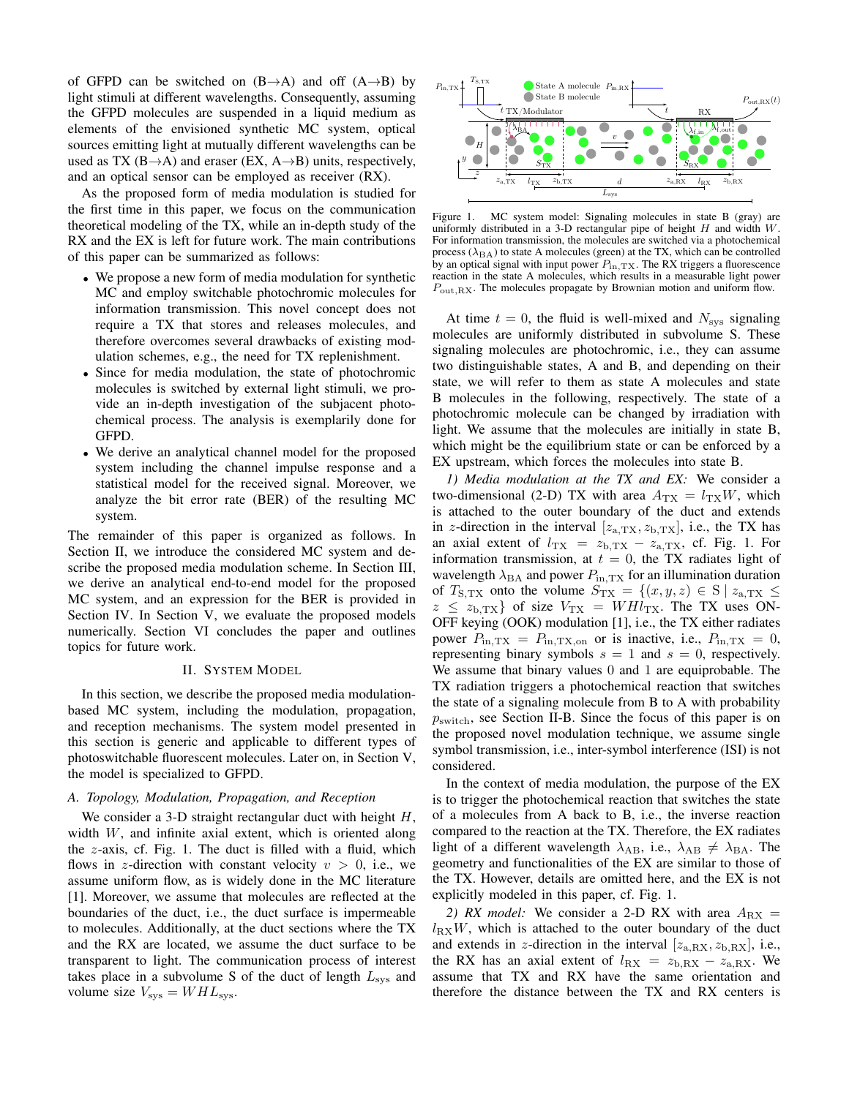of GFPD can be switched on  $(B\rightarrow A)$  and off  $(A\rightarrow B)$  by light stimuli at different wavelengths. Consequently, assuming the GFPD molecules are suspended in a liquid medium as elements of the envisioned synthetic MC system, optical sources emitting light at mutually different wavelengths can be used as TX (B $\rightarrow$ A) and eraser (EX, A $\rightarrow$ B) units, respectively, and an optical sensor can be employed as receiver (RX).

As the proposed form of media modulation is studied for the first time in this paper, we focus on the communication theoretical modeling of the TX, while an in-depth study of the RX and the EX is left for future work. The main contributions of this paper can be summarized as follows:

- We propose a new form of media modulation for synthetic MC and employ switchable photochromic molecules for information transmission. This novel concept does not require a TX that stores and releases molecules, and therefore overcomes several drawbacks of existing modulation schemes, e.g., the need for TX replenishment.
- Since for media modulation, the state of photochromic molecules is switched by external light stimuli, we provide an in-depth investigation of the subjacent photochemical process. The analysis is exemplarily done for GFPD.
- We derive an analytical channel model for the proposed system including the channel impulse response and a statistical model for the received signal. Moreover, we analyze the bit error rate (BER) of the resulting MC system.

The remainder of this paper is organized as follows. In Section [II,](#page-1-0) we introduce the considered MC system and describe the proposed media modulation scheme. In Section [III,](#page-2-0) we derive an analytical end-to-end model for the proposed MC system, and an expression for the BER is provided in Section [IV.](#page-3-0) In Section [V,](#page-4-0) we evaluate the proposed models numerically. Section [VI](#page-5-12) concludes the paper and outlines topics for future work.

# II. SYSTEM MODEL

<span id="page-1-0"></span>In this section, we describe the proposed media modulationbased MC system, including the modulation, propagation, and reception mechanisms. The system model presented in this section is generic and applicable to different types of photoswitchable fluorescent molecules. Later on, in Section [V,](#page-4-0) the model is specialized to GFPD.

# <span id="page-1-2"></span>*A. Topology, Modulation, Propagation, and Reception*

We consider a 3-D straight rectangular duct with height  $H$ , width W, and infinite axial extent, which is oriented along the z-axis, cf. Fig. [1.](#page-1-1) The duct is filled with a fluid, which flows in z-direction with constant velocity  $v > 0$ , i.e., we assume uniform flow, as is widely done in the MC literature [\[1\]](#page-5-0). Moreover, we assume that molecules are reflected at the boundaries of the duct, i.e., the duct surface is impermeable to molecules. Additionally, at the duct sections where the TX and the RX are located, we assume the duct surface to be transparent to light. The communication process of interest takes place in a subvolume S of the duct of length  $L_{\rm sys}$  and volume size  $V_{\text{sys}} = W H L_{\text{sys}}$ .

<span id="page-1-1"></span>

Figure 1. MC system model: Signaling molecules in state B (gray) are uniformly distributed in a 3-D rectangular pipe of height  $H$  and width  $W$ . For information transmission, the molecules are switched via a photochemical process  $(\lambda_{BA})$  to state A molecules (green) at the TX, which can be controlled by an optical signal with input power  $P_{\text{in,TX}}$ . The RX triggers a fluorescence reaction in the state A molecules, which results in a measurable light power  $P_{\text{out,RX}}$ . The molecules propagate by Brownian motion and uniform flow.

At time  $t = 0$ , the fluid is well-mixed and  $N_{sys}$  signaling molecules are uniformly distributed in subvolume S. These signaling molecules are photochromic, i.e., they can assume two distinguishable states, A and B, and depending on their state, we will refer to them as state A molecules and state B molecules in the following, respectively. The state of a photochromic molecule can be changed by irradiation with light. We assume that the molecules are initially in state B, which might be the equilibrium state or can be enforced by a EX upstream, which forces the molecules into state B.

*1) Media modulation at the TX and EX:* We consider a two-dimensional (2-D) TX with area  $A_{\text{TX}} = l_{\text{TX}}W$ , which is attached to the outer boundary of the duct and extends in z-direction in the interval  $[z_{a,\text{TX}}, z_{b,\text{TX}}]$ , i.e., the TX has an axial extent of  $l_{\text{TX}} = z_{b,\text{TX}} - z_{a,\text{TX}}$ , cf. Fig. [1.](#page-1-1) For information transmission, at  $t = 0$ , the TX radiates light of wavelength  $\lambda_{\text{BA}}$  and power  $P_{\text{in,TX}}$  for an illumination duration of  $T_{S,TX}$  onto the volume  $S_{TX} = \{(x,y,z) \in S \mid z_{a,TX} \leq$  $z \leq z_{\rm b, TX}$  of size  $V_{\rm TX} = WHl_{\rm TX}$ . The TX uses ON-OFF keying (OOK) modulation [\[1\]](#page-5-0), i.e., the TX either radiates power  $P_{\text{in,TX}} = P_{\text{in,TX},\text{on}}$  or is inactive, i.e.,  $P_{\text{in,TX}} = 0$ , representing binary symbols  $s = 1$  and  $s = 0$ , respectively. We assume that binary values 0 and 1 are equiprobable. The TX radiation triggers a photochemical reaction that switches the state of a signaling molecule from B to A with probability  $p<sub>switch</sub>$ , see Section [II-B.](#page-2-1) Since the focus of this paper is on the proposed novel modulation technique, we assume single symbol transmission, i.e., inter-symbol interference (ISI) is not considered.

In the context of media modulation, the purpose of the EX is to trigger the photochemical reaction that switches the state of a molecules from A back to B, i.e., the inverse reaction compared to the reaction at the TX. Therefore, the EX radiates light of a different wavelength  $\lambda_{AB}$ , i.e.,  $\lambda_{AB} \neq \lambda_{BA}$ . The geometry and functionalities of the EX are similar to those of the TX. However, details are omitted here, and the EX is not explicitly modeled in this paper, cf. Fig. [1.](#page-1-1)

2) RX model: We consider a 2-D RX with area  $A_{\rm RX}$  =  $l_{\text{RX}}$ W, which is attached to the outer boundary of the duct and extends in z-direction in the interval  $[z_{a, RX}, z_{b, RX}]$ , i.e., the RX has an axial extent of  $l_{\text{RX}} = z_{\text{b,RX}} - z_{\text{a,RX}}$ . We assume that TX and RX have the same orientation and therefore the distance between the TX and RX centers is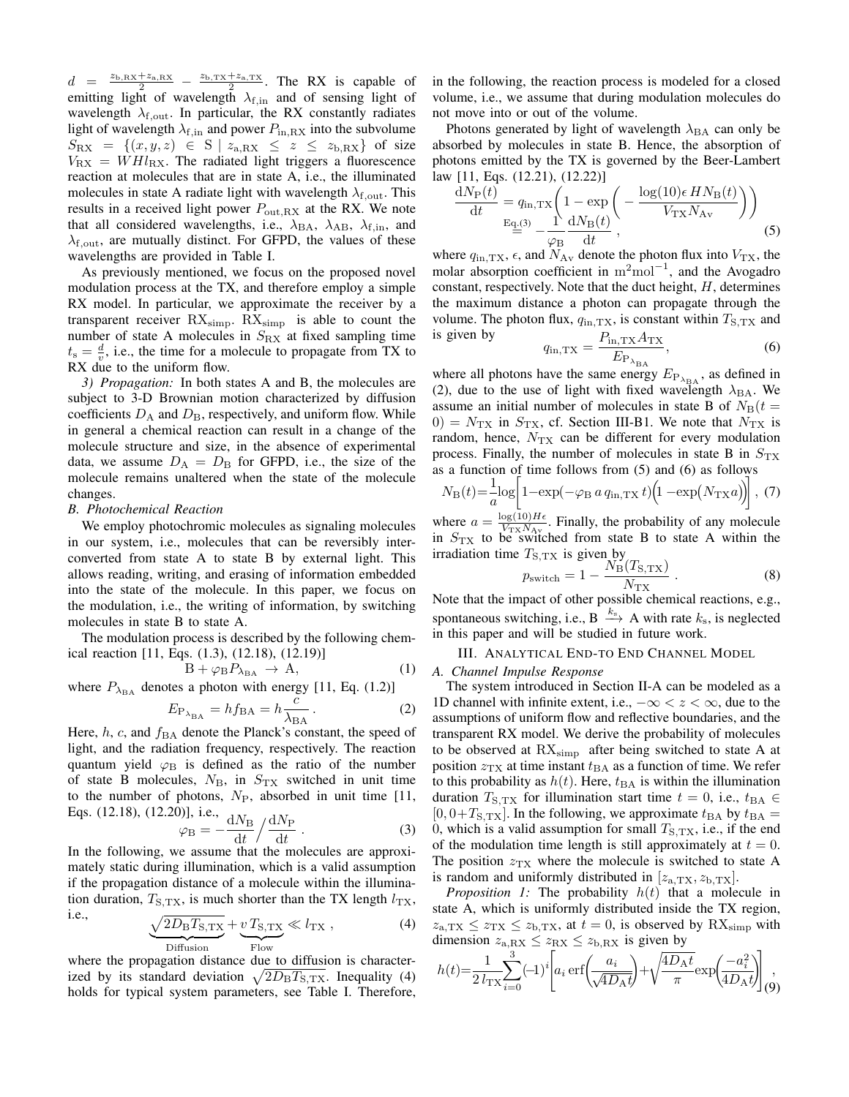$d = \frac{z_{b,\text{RX}} + z_{a,\text{RX}}}{2} - \frac{z_{b,\text{TX}} + z_{a,\text{TX}}}{2}$  $\frac{+z_{\rm a, TX}}{2}$ . The RX is capable of emitting light of wavelength  $\lambda_{\text{f,in}}$  and of sensing light of wavelength  $\lambda_{\text{f,out}}$ . In particular, the RX constantly radiates light of wavelength  $\lambda_{\text{f,in}}$  and power  $P_{\text{in,RX}}$  into the subvolume  $S_{\rm RX} = \{(x, y, z) \in S \mid z_{a,\rm RX} \leq z \leq z_{b,\rm RX} \}$  of size  $V_{\rm RX} = W H l_{\rm RX}$ . The radiated light triggers a fluorescence reaction at molecules that are in state A, i.e., the illuminated molecules in state A radiate light with wavelength  $\lambda_{\rm f,out}$ . This results in a received light power  $P_{\text{out,RX}}$  at the RX. We note that all considered wavelengths, i.e.,  $\lambda_{BA}$ ,  $\lambda_{AB}$ ,  $\lambda_{f,in}$ , and  $\lambda_{\text{f,out}}$ , are mutually distinct. For GFPD, the values of these wavelengths are provided in Table [I.](#page-4-1)

As previously mentioned, we focus on the proposed novel modulation process at the TX, and therefore employ a simple RX model. In particular, we approximate the receiver by a transparent receiver  $RX_{simp}$ .  $RX_{simp}$  is able to count the number of state A molecules in  $S_{\rm RX}$  at fixed sampling time  $t_s = \frac{d}{v}$ , i.e., the time for a molecule to propagate from TX to RX due to the uniform flow.

*3) Propagation:* In both states A and B, the molecules are subject to 3-D Brownian motion characterized by diffusion coefficients  $D_A$  and  $D_B$ , respectively, and uniform flow. While in general a chemical reaction can result in a change of the molecule structure and size, in the absence of experimental data, we assume  $D_A = D_B$  for GFPD, i.e., the size of the molecule remains unaltered when the state of the molecule changes.

#### <span id="page-2-1"></span>*B. Photochemical Reaction*

We employ photochromic molecules as signaling molecules in our system, i.e., molecules that can be reversibly interconverted from state A to state B by external light. This allows reading, writing, and erasing of information embedded into the state of the molecule. In this paper, we focus on the modulation, i.e., the writing of information, by switching molecules in state B to state A.

The modulation process is described by the following chemical reaction [\[11,](#page-5-10) Eqs. (1.3), (12.18), (12.19)]

$$
B + \varphi_B P_{\lambda_{BA}} \to A, \qquad (1)
$$

where  $P_{\lambda_{\text{BA}}}$  denotes a photon with energy [\[11,](#page-5-10) Eq. (1.2)]

$$
E_{P_{\lambda_{BA}}} = h f_{BA} = h \frac{c}{\lambda_{BA}}.
$$
 (2)

Here,  $h$ ,  $c$ , and  $f_{BA}$  denote the Planck's constant, the speed of light, and the radiation frequency, respectively. The reaction quantum yield  $\varphi_B$  is defined as the ratio of the number of state B molecules,  $N_B$ , in  $S_{TX}$  switched in unit time to the number of photons,  $N_{\rm P}$ , absorbed in unit time [\[11,](#page-5-10) Eqs. (12.18), (12.20)], i.e.,

$$
\varphi_{\rm B} = -\frac{dN_{\rm B}}{dt} / \frac{dN_{\rm P}}{dt} \,. \tag{3}
$$

In the following, we assume that the molecules are approximately static during illumination, which is a valid assumption if the propagation distance of a molecule within the illumination duration,  $T_{S,TX}$ , is much shorter than the TX length  $l_{TX}$ , i.e.

$$
\frac{\sqrt{2D_{\rm B}T_{\rm S,TX}}}{\text{Diffusion}} + \underbrace{v \, T_{\rm S,TX}}_{\text{Flow}} \ll l_{\rm TX} \,, \tag{4}
$$

where the propagation distance due to diffusion is characterized by its standard deviation  $\sqrt{2D_{\rm B}T_{\rm S,TX}}$ . Inequality [\(4\)](#page-2-2) holds for typical system parameters, see Table [I.](#page-4-1) Therefore, in the following, the reaction process is modeled for a closed volume, i.e., we assume that during modulation molecules do not move into or out of the volume.

Photons generated by light of wavelength  $\lambda_{\text{BA}}$  can only be absorbed by molecules in state B. Hence, the absorption of photons emitted by the TX is governed by the Beer-Lambert law [\[11,](#page-5-10) Eqs. (12.21), (12.22)]

$$
\frac{dN_P(t)}{dt} = q_{\text{in,TX}} \left( 1 - \exp\left( -\frac{\log(10)\epsilon H N_B(t)}{V_{\text{TX}} N_{\text{Av}}} \right) \right)
$$
  

$$
\frac{E_{q,(3)}}{\frac{dN_B(t)}{dt}} - \frac{1}{\varphi_B} \frac{dN_B(t)}{dt},
$$
 (5)

where  $q_{\text{in,TX}}$ ,  $\epsilon$ , and  $N_{\text{Av}}$  denote the photon flux into  $V_{\text{TX}}$ , the molar absorption coefficient in  $m^2$ mol<sup>-1</sup>, and the Avogadro constant, respectively. Note that the duct height,  $H$ , determines the maximum distance a photon can propagate through the volume. The photon flux,  $q_{\text{in,TX}}$ , is constant within  $T_{\text{S,TX}}$  and is given by

<span id="page-2-6"></span><span id="page-2-5"></span>
$$
q_{\rm in, TX} = \frac{P_{\rm in, TX} A_{\rm TX}}{E_{\rm P_{\lambda_{\rm BA}}}},\tag{6}
$$

where all photons have the same energy  $E_{P_{\lambda_{BA}}}$ , as defined in [\(2\)](#page-2-4), due to the use of light with fixed wavelength  $\lambda_{BA}$ . We assume an initial number of molecules in state B of  $N_{\rm B}(t =$  $0 = N_{\text{TX}}$  in  $S_{\text{TX}}$ , cf. Section [III-B1.](#page-3-1) We note that  $N_{\text{TX}}$  is random, hence,  $N_{\text{TX}}$  can be different for every modulation process. Finally, the number of molecules in state B in  $S_{TX}$ as a function of time follows from [\(5\)](#page-2-5) and [\(6\)](#page-2-6) as follows

$$
N_{\rm B}(t) = \frac{1}{a} \log \left[ 1 - \exp(-\varphi_{\rm B} a q_{\rm in, TX} t) \left( 1 - \exp(N_{\rm TX} a) \right) \right], (7)
$$

where  $a = \frac{\log(10)H\epsilon}{V_{\text{UV}}N_A}$  $\frac{\log(10) \pi \epsilon}{V_{\text{TX}} N_{\text{Av}}}$ . Finally, the probability of any molecule in  $S_{\text{TX}}$  to be switched from state B to state A within the irradiation time  $T_{\rm S, TX}$  is given by

<span id="page-2-9"></span><span id="page-2-8"></span>
$$
p_{\text{switch}} = 1 - \frac{N_{\text{B}}(T_{\text{S,TX}})}{N_{\text{TX}}} \,. \tag{8}
$$

Note that the impact of other possible chemical reactions, e.g., spontaneous switching, i.e., B  $\stackrel{k_s}{\longrightarrow}$  A with rate  $k_s$ , is neglected in this paper and will be studied in future work.

#### III. ANALYTICAL END-TO END CHANNEL MODEL

#### <span id="page-2-0"></span>*A. Channel Impulse Response*

<span id="page-2-4"></span>The system introduced in Section [II-A](#page-1-2) can be modeled as a 1D channel with infinite extent, i.e.,  $-\infty < z < \infty$ , due to the assumptions of uniform flow and reflective boundaries, and the transparent RX model. We derive the probability of molecules to be observed at  $RX_{\text{simp}}$  after being switched to state A at position  $z_{\text{TX}}$  at time instant  $t_{\text{BA}}$  as a function of time. We refer to this probability as  $h(t)$ . Here,  $t_{BA}$  is within the illumination duration  $T_{S,TX}$  for illumination start time  $t = 0$ , i.e.,  $t_{BA} \in$  $[0, 0+T_{S, TX}]$ . In the following, we approximate  $t_{BA}$  by  $t_{BA}$  = 0, which is a valid assumption for small  $T_{S,TX}$ , i.e., if the end of the modulation time length is still approximately at  $t = 0$ . The position  $z_{TX}$  where the molecule is switched to state A is random and uniformly distributed in  $[z_{a, TX}, z_{b, TX}]$ .

<span id="page-2-3"></span><span id="page-2-2"></span>*Proposition 1:* The probability  $h(t)$  that a molecule in state A, which is uniformly distributed inside the TX region,  $z_{\rm a, TX} \leq z_{\rm TX} \leq z_{\rm b, TX}$ , at  $t = 0$ , is observed by  $\text{RX}_{\rm simp}$  with dimension  $z_{a, RX} \leq z_{RX} \leq z_{b, RX}$  is given by

<span id="page-2-7"></span>
$$
h(t) = \frac{1}{2 l_{\text{TX}}} \sum_{i=0}^{3} (-1)^i \left[ a_i \, \text{erf}\left( \frac{a_i}{\sqrt{4 D_{\text{A}} t}} \right) + \sqrt{\frac{4 D_{\text{A}} t}{\pi}} \exp\left( \frac{-a_i^2}{4 D_{\text{A}} t} \right) \right],
$$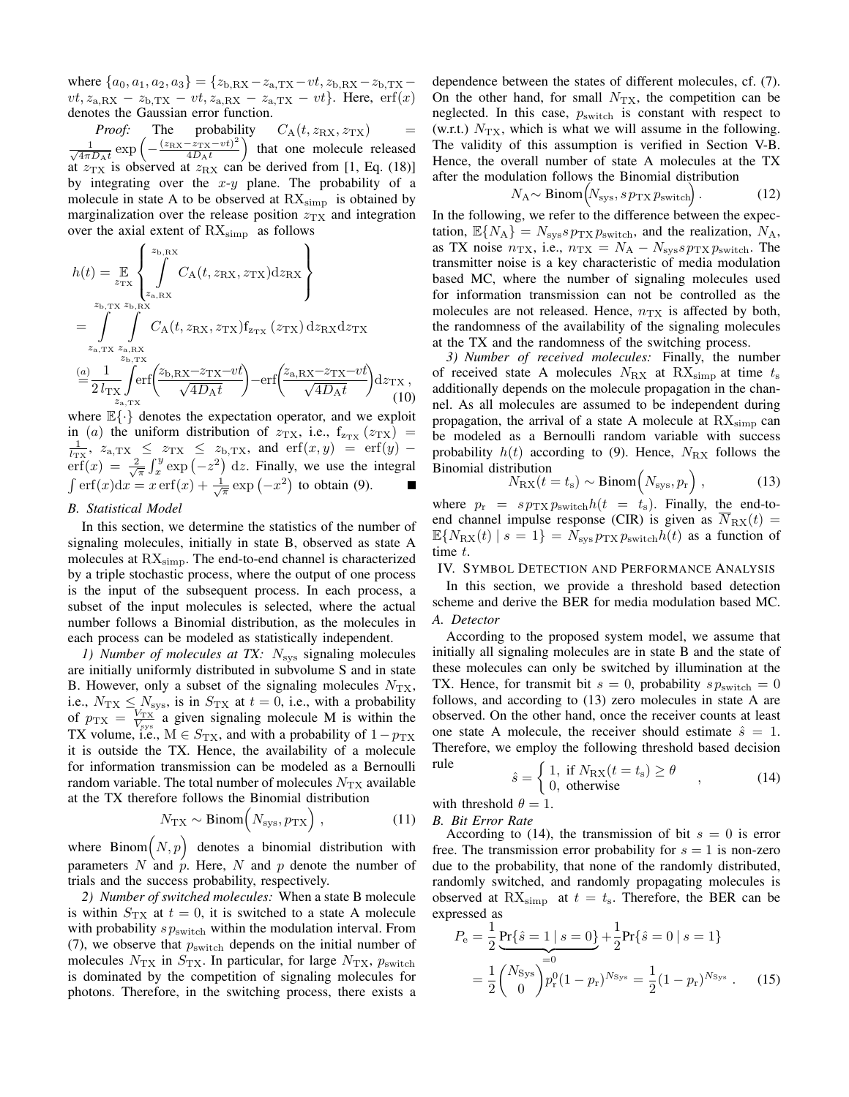where  $\{a_0, a_1, a_2, a_3\} = \{z_{b, RX} - z_{a, TX} - vt, z_{b, RX} - z_{b, TX}$  $vt$ ,  $z_{a, RX} - z_{b, TX} - vt$ ,  $z_{a, RX} - z_{a, TX} - vt$ . Here, erf(x) denotes the Gaussian error function.

*Proof:* The probability  $C_A(t, z_{\text{RX}}, z_{\text{TX}})$  $-\frac{1}{\sqrt{2}}$  $\frac{1}{4\pi D_{\rm A}t}$  exp  $\left(-\frac{(z_{\rm RX}-z_{\rm TX}-vt)^2}{4D_{\rm A}t}\right)$  $\left(\frac{-z_{\text{TX}} - vt^2}{4D_{\text{A}}t}\right)$  that one molecule released at  $z_{\text{TX}}$  is observed at  $z_{\text{RX}}$  can be derived from [\[1,](#page-5-0) Eq. (18)] by integrating over the  $x-y$  plane. The probability of a molecule in state A to be observed at  $\text{RX}_{\text{simp}}$  is obtained by marginalization over the release position  $z_{TX}$  and integration over the axial extent of  $\text{RX}_{\text{simp}}$  as follows

$$
h(t) = \mathop{\mathbb{E}}_{z_{\text{TX}}} \left\{ \int_{z_{\text{a,RX}}}^{z_{\text{b,RX}}} C_{\text{A}}(t, z_{\text{RX}}, z_{\text{TX}}) dz_{\text{RX}} \right\}
$$
  
\n
$$
= \int_{z_{\text{a,TX}}} \int_{z_{\text{b,RX}}} C_{\text{A}}(t, z_{\text{RX}}, z_{\text{TX}}) f_{z_{\text{TX}}} (z_{\text{TX}}) dz_{\text{RX}} dz_{\text{TX}}
$$
  
\n
$$
= \int_{z_{\text{a,TX}}} \int_{z_{\text{b,TX}}}^{z_{\text{b,RX}}} C_{\text{A}}(t, z_{\text{RX}}, z_{\text{TX}}) f_{z_{\text{TX}}} (z_{\text{TX}}) dz_{\text{RX}} dz_{\text{TX}}
$$
  
\n
$$
= \frac{1}{2 l_{\text{TX}}} \int_{z_{\text{a,TX}}} \text{erf} \left( \frac{z_{\text{b,RX}} - z_{\text{TX}} - vt}{\sqrt{4D_{\text{A}}t}} \right) - \text{erf} \left( \frac{z_{\text{a,RX}} - z_{\text{TX}} - vt}{\sqrt{4D_{\text{A}}t}} \right) dz_{\text{TX}}, \tag{10}
$$

where  $\mathbb{E}\{\cdot\}$  denotes the expectation operator, and we exploit in (a) the uniform distribution of  $z_{TX}$ , i.e.,  $f_{z_{TX}}(z_{TX})$  =  $\frac{1}{l_{\text{TX}}}, z_{a,\text{TX}} \leq z_{\text{TX}} \leq z_{b,\text{TX}}, \text{ and } \text{erf}(x, y) = \text{erf}(y)$  $\operatorname{erf}(x) = \frac{2}{\sqrt{\pi}} \int_x^y \exp(-z^2) dz$ . Finally, we use the integral  $\int \mathrm{erf}(x) \mathrm{d}x = x \, \mathrm{erf}(x) + \frac{1}{\sqrt{\pi}} \exp(-x^2)$  to obtain [\(9\)](#page-2-7).

# <span id="page-3-7"></span>*B. Statistical Model*

In this section, we determine the statistics of the number of signaling molecules, initially in state B, observed as state A molecules at  $RX_{\text{simp}}$ . The end-to-end channel is characterized by a triple stochastic process, where the output of one process is the input of the subsequent process. In each process, a subset of the input molecules is selected, where the actual number follows a Binomial distribution, as the molecules in each process can be modeled as statistically independent.

<span id="page-3-1"></span>*1) Number of molecules at TX:* N<sub>sys</sub> signaling molecules are initially uniformly distributed in subvolume S and in state B. However, only a subset of the signaling molecules  $N_{TX}$ , i.e.,  $N_{\text{TX}} \leq N_{\text{sys}}$ , is in  $S_{\text{TX}}$  at  $t = 0$ , i.e., with a probability of  $p_{\text{TX}} = \frac{V_{\text{TX}}}{V_{\text{sys}}}$  a given signaling molecule M is within the TX volume, i.e.,  $M \in S_{TX}$ , and with a probability of  $1-p_{TX}$ it is outside the TX. Hence, the availability of a molecule for information transmission can be modeled as a Bernoulli random variable. The total number of molecules  $N_{\text{TX}}$  available at the TX therefore follows the Binomial distribution

$$
N_{\rm TX} \sim \text{Binom}\Big(N_{\rm sys}, p_{\rm TX}\Big) \,,\tag{11}
$$

where Binom $(N, p)$  denotes a binomial distribution with parameters N and  $\hat{p}$ . Here, N and p denote the number of trials and the success probability, respectively.

<span id="page-3-5"></span>*2) Number of switched molecules:* When a state B molecule is within  $S_{TX}$  at  $t = 0$ , it is switched to a state A molecule with probability  $sp_{switch}$  within the modulation interval. From [\(7\)](#page-2-8), we observe that  $p<sub>switch</sub>$  depends on the initial number of molecules  $N_{\text{TX}}$  in  $S_{\text{TX}}$ . In particular, for large  $N_{\text{TX}}$ ,  $p_{\text{switch}}$ is dominated by the competition of signaling molecules for photons. Therefore, in the switching process, there exists a

dependence between the states of different molecules, cf. [\(7\)](#page-2-8). On the other hand, for small  $N_{\text{TX}}$ , the competition can be neglected. In this case,  $p_{switch}$  is constant with respect to (w.r.t.)  $N_{\text{TX}}$ , which is what we will assume in the following. The validity of this assumption is verified in Section [V-B.](#page-4-2) Hence, the overall number of state A molecules at the TX after the modulation follows the Binomial distribution

$$
N_{\rm A} \sim \text{Binom}\Big(N_{\rm sys}, s \, p_{\rm TX} \, p_{\rm switch}\Big) \,. \tag{12}
$$

In the following, we refer to the difference between the expectation,  $\mathbb{E}{N_A} = N_{\text{sys}} s p_{\text{TX}} p_{\text{switch}}$ , and the realization,  $N_A$ , as TX noise  $n_{\text{TX}}$ , i.e.,  $n_{\text{TX}} = N_A - N_{\text{sys}} s p_{\text{TX}} p_{\text{switch}}$ . The transmitter noise is a key characteristic of media modulation based MC, where the number of signaling molecules used for information transmission can not be controlled as the molecules are not released. Hence,  $n_{\text{TX}}$  is affected by both, the randomness of the availability of the signaling molecules at the TX and the randomness of the switching process.

<span id="page-3-6"></span>*3) Number of received molecules:* Finally, the number of received state A molecules  $N_{\rm RX}$  at RX<sub>simp</sub> at time  $t_{\rm s}$ additionally depends on the molecule propagation in the channel. As all molecules are assumed to be independent during propagation, the arrival of a state A molecule at  $\text{RX}_{\text{simp}}$  can be modeled as a Bernoulli random variable with success probability  $h(t)$  according to [\(9\)](#page-2-7). Hence,  $N_{\rm RX}$  follows the Binomial distribution

<span id="page-3-2"></span>
$$
N_{\rm RX}(t = t_{\rm s}) \sim \text{Binom}\left(N_{\rm sys}, p_{\rm r}\right),\tag{13}
$$

where  $p_r = s p_{TX} p_{switch} h(t = t_s)$ . Finally, the end-toend channel impulse response (CIR) is given as  $N_{\rm RX}(t) =$  $\mathbb{E}{N_{\text{RX}}(t) | s = 1} = N_{\text{sys}} p_{\text{TX}} p_{\text{switch}} h(t)$  as a function of time t.

#### <span id="page-3-0"></span>IV. SYMBOL DETECTION AND PERFORMANCE ANALYSIS

In this section, we provide a threshold based detection scheme and derive the BER for media modulation based MC. *A. Detector*

According to the proposed system model, we assume that initially all signaling molecules are in state B and the state of these molecules can only be switched by illumination at the TX. Hence, for transmit bit  $s = 0$ , probability  $sp_{switch} = 0$ follows, and according to [\(13\)](#page-3-2) zero molecules in state A are observed. On the other hand, once the receiver counts at least one state A molecule, the receiver should estimate  $\hat{s} = 1$ . Therefore, we employ the following threshold based decision rule

<span id="page-3-3"></span>
$$
\hat{s} = \begin{cases} 1, & \text{if } N_{\text{RX}}(t = t_{\text{s}}) \ge \theta \\ 0, & \text{otherwise} \end{cases}
$$
 (14)

with threshold  $\theta = 1$ .

*B. Bit Error Rate*

According to [\(14\)](#page-3-3), the transmission of bit  $s = 0$  is error free. The transmission error probability for  $s = 1$  is non-zero due to the probability, that none of the randomly distributed, randomly switched, and randomly propagating molecules is observed at  $RX_{\text{simp}}$  at  $t = t_s$ . Therefore, the BER can be expressed as

<span id="page-3-4"></span>
$$
P_{\rm e} = \frac{1}{2} \underbrace{\Pr\{\hat{s} = 1 \mid s = 0\}}_{=0} + \frac{1}{2} \Pr\{\hat{s} = 0 \mid s = 1\}
$$

$$
= \frac{1}{2} {N_{\rm Sys} \choose 0} p_{\rm r}^{0} (1 - p_{\rm r})^{N_{\rm Sys}} = \frac{1}{2} (1 - p_{\rm r})^{N_{\rm Sys}} . \tag{15}
$$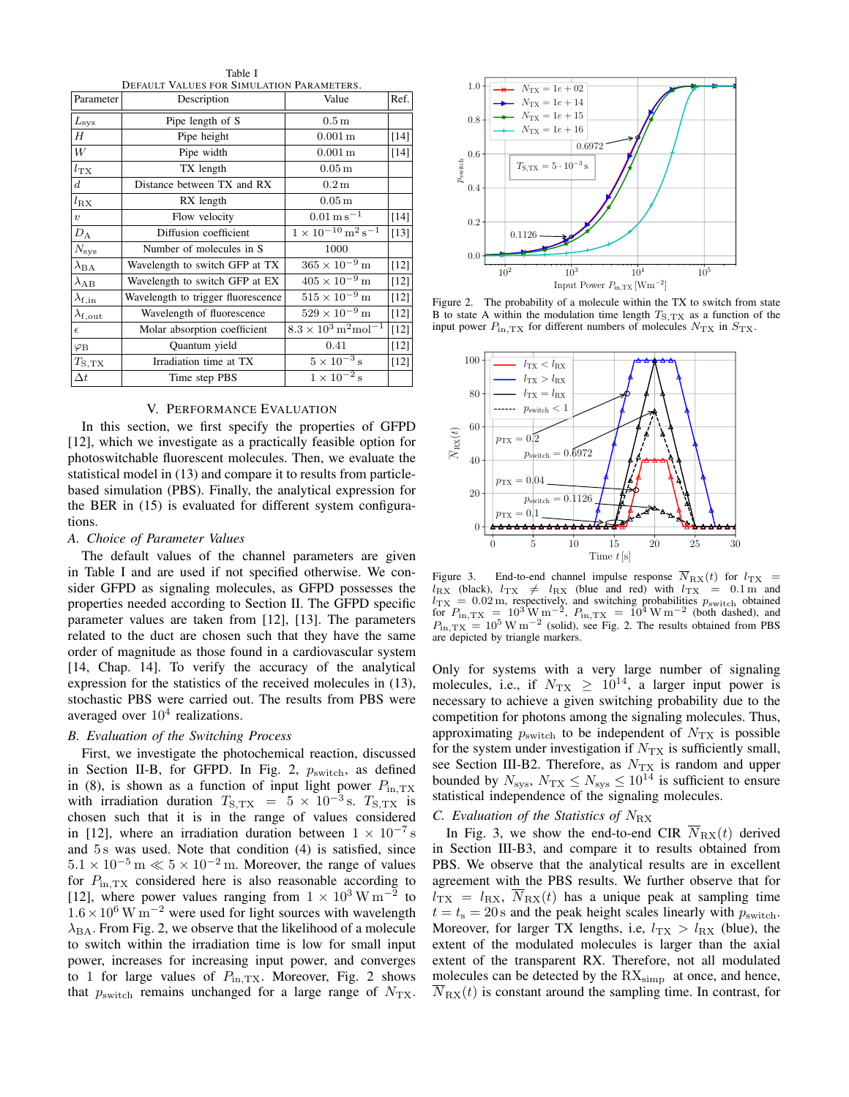Table I DEFAULT VALUES FOR SIMULATION PARAMETERS.

<span id="page-4-1"></span>

| Parameter             | <b>DELAVEL</b><br>TALCES TON SIMULATION LANAMILILINS.<br>Description | Value                                              | $\text{Ref.}$ |
|-----------------------|----------------------------------------------------------------------|----------------------------------------------------|---------------|
| $L_{\rm sys}$         | Pipe length of S                                                     | $0.5\,\mathrm{m}$                                  |               |
| Н                     | Pipe height                                                          | $0.001 \,\mathrm{m}$                               | $[14]$        |
| W                     | Pipe width                                                           | $0.001 \,\mathrm{m}$                               | $[14]$        |
| $l_{\rm TX}$          | TX length                                                            | $0.05\,\mathrm{m}$                                 |               |
| $d_{-}$               | Distance between TX and RX                                           | 0.2 m                                              |               |
| $l_{\rm RX}$          | RX length                                                            | $0.05\,\mathrm{m}$                                 |               |
| $\upsilon$            | Flow velocity                                                        | $0.01 \,\mathrm{m\,s^{-1}}$                        | $[14]$        |
| $D_{\rm A}$           | Diffusion coefficient                                                | $1 \times 10^{-10}$ m <sup>2</sup> s <sup>-1</sup> | $[13]$        |
| $N_{\rm sys}$         | Number of molecules in S                                             | 1000                                               |               |
| $\lambda_{\text{BA}}$ | Wavelength to switch GFP at TX                                       | $365 \times 10^{-9}$ m                             | $[12]$        |
| $\lambda_{AB}$        | Wavelength to switch GFP at EX                                       | $405 \times 10^{-9}$ m                             | $[12]$        |
| $\lambda_{\rm f,in}$  | Wavelength to trigger fluorescence                                   | $515 \times 10^{-9}$ m                             | $[12]$        |
| $\lambda_{\rm f,out}$ | Wavelength of fluorescence                                           | $529 \times 10^{-9}$ m                             | $[12]$        |
| $\epsilon$            | Molar absorption coefficient                                         | $8.3 \times 10^3 \,\mathrm{m}^2 \mathrm{mol}^{-1}$ | $[12]$        |
| $\varphi_{\rm B}$     | Quantum yield                                                        | 0.41                                               | $[12]$        |
| $T_{\rm S,TX}$        | Irradiation time at TX                                               | $5\times10^{-3}\,\mathrm{s}$                       | $[12]$        |
| $\Delta t$            | Time step PBS                                                        | $1 \times 10^{-2}$ s                               |               |

# V. PERFORMANCE EVALUATION

<span id="page-4-0"></span>In this section, we first specify the properties of GFPD [\[12\]](#page-5-11), which we investigate as a practically feasible option for photoswitchable fluorescent molecules. Then, we evaluate the statistical model in [\(13\)](#page-3-2) and compare it to results from particlebased simulation (PBS). Finally, the analytical expression for the BER in [\(15\)](#page-3-4) is evaluated for different system configurations.

# *A. Choice of Parameter Values*

The default values of the channel parameters are given in Table [I](#page-4-1) and are used if not specified otherwise. We consider GFPD as signaling molecules, as GFPD possesses the properties needed according to Section [II.](#page-1-0) The GFPD specific parameter values are taken from [\[12\]](#page-5-11), [\[13\]](#page-5-14). The parameters related to the duct are chosen such that they have the same order of magnitude as those found in a cardiovascular system [\[14,](#page-5-13) Chap. 14]. To verify the accuracy of the analytical expression for the statistics of the received molecules in [\(13\)](#page-3-2), stochastic PBS were carried out. The results from PBS were averaged over  $10<sup>4</sup>$  realizations.

#### <span id="page-4-2"></span>*B. Evaluation of the Switching Process*

First, we investigate the photochemical reaction, discussed in Section [II-B,](#page-2-1) for GFPD. In Fig. [2,](#page-4-3)  $p_{switch}$ , as defined in [\(8\)](#page-2-9), is shown as a function of input light power  $P_{\text{in,TX}}$ with irradiation duration  $T_{\text{S,TX}} = 5 \times 10^{-3} \text{ s}$ .  $T_{\text{S,TX}}$  is chosen such that it is in the range of values considered in [\[12\]](#page-5-11), where an irradiation duration between  $1 \times 10^{-7}$  s and 5 s was used. Note that condition [\(4\)](#page-2-2) is satisfied, since  $5.1 \times 10^{-5}$  m  $\ll 5 \times 10^{-2}$  m. Moreover, the range of values for  $P_{\text{in,TX}}$  considered here is also reasonable according to [\[12\]](#page-5-11), where power values ranging from  $1 \times 10^3 \,\mathrm{W\,m}^{-2}$  to  $1.6 \times 10^6$  W m<sup>-2</sup> were used for light sources with wavelength  $\lambda_{\text{BA}}$ . From Fig. [2,](#page-4-3) we observe that the likelihood of a molecule to switch within the irradiation time is low for small input power, increases for increasing input power, and converges to 1 for large values of  $P_{\text{in,TX}}$ . Moreover, Fig. [2](#page-4-3) shows that  $p_{\text{switch}}$  remains unchanged for a large range of  $N_{\text{TX}}$ .

<span id="page-4-3"></span>

Figure 2. The probability of a molecule within the TX to switch from state B to state A within the modulation time length  $T_{S,TX}$  as a function of the input power  $P_{\text{in,TX}}$  for different numbers of molecules  $N_{\text{TX}}$  in  $S_{\text{TX}}$ .

<span id="page-4-4"></span>

Figure 3. End-to-end channel impulse response  $\overline{N}_{RX}(t)$  for  $l_{TX}$  $l_{\text{RX}}$  (black),  $l_{\text{TX}} \neq l_{\text{RX}}$  (blue and red) with  $l_{\text{TX}} = 0.1 \text{ m}$  and  $l_{\text{TX}} = 0.02 \text{ m}$ , respectively, and switching probabilities  $p_{\text{switch}}$  obtained for  $P_{\text{in,TX}} = 10^3 \text{ W m}^{-2}$ ,  $P_{\text{in,TX}} = 10^4 \text{ W m}^{-2}$  (both dashed), and  $P_{\text{in,TX}} = 10^5 \text{ W m}^{-2}$  (solid), see Fig. [2.](#page-4-3) The results obtained from PBS are depicted by triangle markers.

Only for systems with a very large number of signaling molecules, i.e., if  $N_{\text{TX}} \geq 10^{14}$ , a larger input power is necessary to achieve a given switching probability due to the competition for photons among the signaling molecules. Thus, approximating  $p_{\text{switch}}$  to be independent of  $N_{\text{TX}}$  is possible for the system under investigation if  $N_{\text{TX}}$  is sufficiently small, see Section [III-B2.](#page-3-5) Therefore, as  $N_{\text{TX}}$  is random and upper bounded by  $N_{\rm sys}$ ,  $N_{\rm TX} \le N_{\rm sys} \le 10^{14}$  is sufficient to ensure statistical independence of the signaling molecules.

# *C. Evaluation of the Statistics of* NRX

In Fig. [3,](#page-4-4) we show the end-to-end CIR  $\overline{N}_{\text{RX}}(t)$  derived in Section [III-B3,](#page-3-6) and compare it to results obtained from PBS. We observe that the analytical results are in excellent agreement with the PBS results. We further observe that for  $l_{\text{TX}} = l_{\text{RX}}$ ,  $N_{\text{RX}}(t)$  has a unique peak at sampling time  $t = t<sub>s</sub> = 20$  s and the peak height scales linearly with  $p<sub>switch</sub>$ . Moreover, for larger TX lengths, i.e,  $l_{\text{TX}} > l_{\text{RX}}$  (blue), the extent of the modulated molecules is larger than the axial extent of the transparent RX. Therefore, not all modulated molecules can be detected by the  $RX_{\text{simp}}$  at once, and hence,  $N_{\text{RX}}(t)$  is constant around the sampling time. In contrast, for